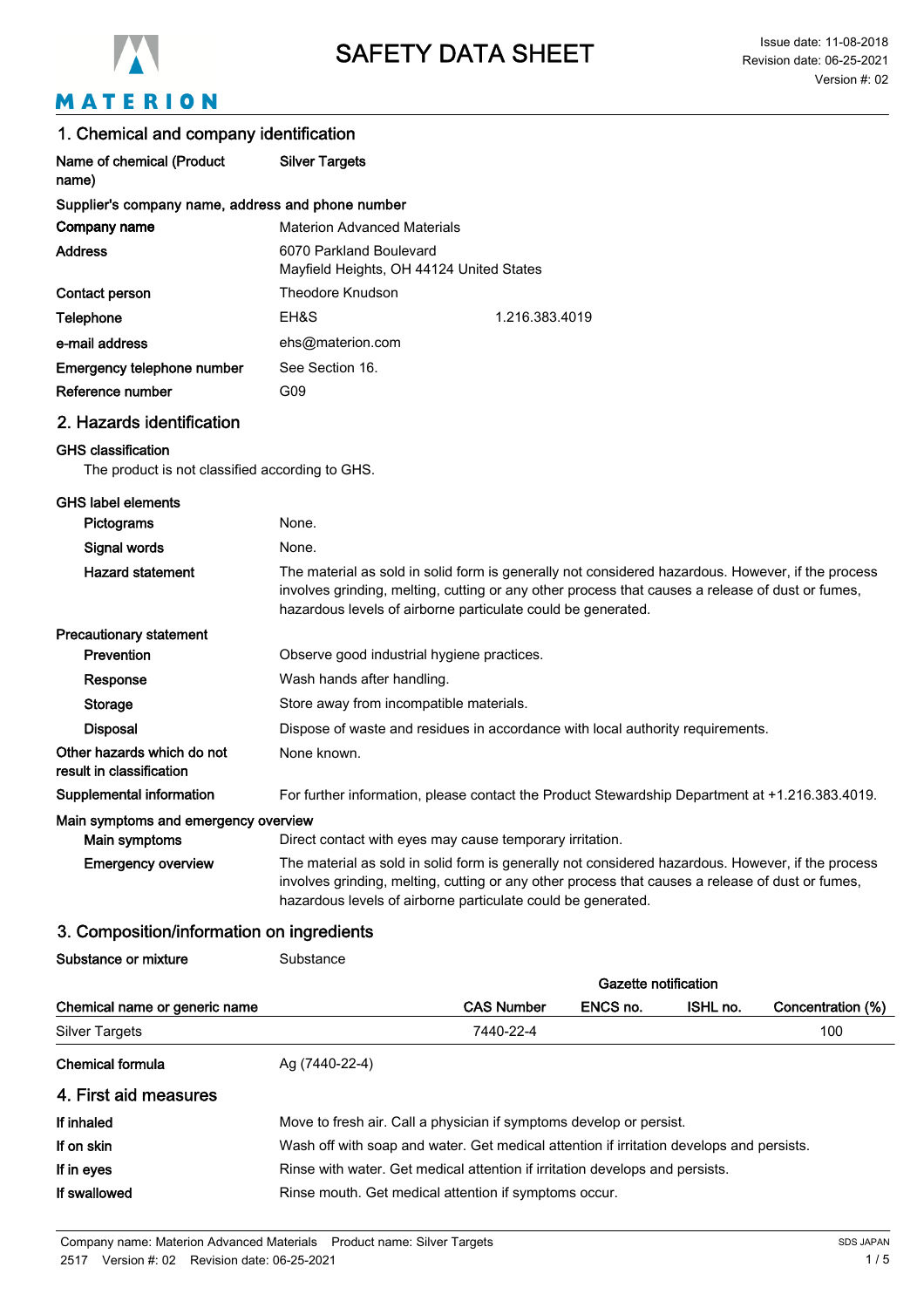

# MATERION

|  |  |  |  | 1. Chemical and company identification |  |
|--|--|--|--|----------------------------------------|--|
|--|--|--|--|----------------------------------------|--|

| Name of chemical (Product<br>name)                                           | <b>Silver Targets</b>                                                                                                                                                                                                                                                 |  |  |
|------------------------------------------------------------------------------|-----------------------------------------------------------------------------------------------------------------------------------------------------------------------------------------------------------------------------------------------------------------------|--|--|
| Supplier's company name, address and phone number                            |                                                                                                                                                                                                                                                                       |  |  |
| Company name                                                                 | <b>Materion Advanced Materials</b>                                                                                                                                                                                                                                    |  |  |
| <b>Address</b>                                                               | 6070 Parkland Boulevard<br>Mayfield Heights, OH 44124 United States                                                                                                                                                                                                   |  |  |
| Contact person                                                               | Theodore Knudson                                                                                                                                                                                                                                                      |  |  |
| Telephone                                                                    | EH&S<br>1.216.383.4019                                                                                                                                                                                                                                                |  |  |
| e-mail address                                                               | ehs@materion.com                                                                                                                                                                                                                                                      |  |  |
| Emergency telephone number                                                   | See Section 16.                                                                                                                                                                                                                                                       |  |  |
| Reference number                                                             | G09                                                                                                                                                                                                                                                                   |  |  |
| 2. Hazards identification                                                    |                                                                                                                                                                                                                                                                       |  |  |
| <b>GHS classification</b><br>The product is not classified according to GHS. |                                                                                                                                                                                                                                                                       |  |  |
| <b>GHS label elements</b>                                                    |                                                                                                                                                                                                                                                                       |  |  |
| Pictograms                                                                   | None.                                                                                                                                                                                                                                                                 |  |  |
| Signal words                                                                 | None.                                                                                                                                                                                                                                                                 |  |  |
| <b>Hazard statement</b>                                                      | The material as sold in solid form is generally not considered hazardous. However, if the process<br>involves grinding, melting, cutting or any other process that causes a release of dust or fumes,<br>hazardous levels of airborne particulate could be generated. |  |  |
| <b>Precautionary statement</b>                                               |                                                                                                                                                                                                                                                                       |  |  |
| Prevention                                                                   | Observe good industrial hygiene practices.                                                                                                                                                                                                                            |  |  |
| Response                                                                     | Wash hands after handling.                                                                                                                                                                                                                                            |  |  |
| Storage                                                                      | Store away from incompatible materials.                                                                                                                                                                                                                               |  |  |
| <b>Disposal</b>                                                              | Dispose of waste and residues in accordance with local authority requirements.                                                                                                                                                                                        |  |  |
| Other hazards which do not<br>result in classification                       | None known.                                                                                                                                                                                                                                                           |  |  |
| <b>Supplemental information</b>                                              | For further information, please contact the Product Stewardship Department at +1.216.383.4019.                                                                                                                                                                        |  |  |
| Main symptoms and emergency overview<br>Main symptoms                        | Direct contact with eyes may cause temporary irritation.                                                                                                                                                                                                              |  |  |
| <b>Emergency overview</b>                                                    | The material as sold in solid form is generally not considered hazardous. However, if the process<br>involves grinding, melting, cutting or any other process that causes a release of dust or fumes,<br>hazardous levels of airborne particulate could be generated. |  |  |

## 3. Composition/information on ingredients

Substance or mixture **Substance** 

|                               |                                                                                          |                                                                     | Gazette notification |          |                   |
|-------------------------------|------------------------------------------------------------------------------------------|---------------------------------------------------------------------|----------------------|----------|-------------------|
| Chemical name or generic name |                                                                                          | <b>CAS Number</b>                                                   | ENCS no.             | ISHL no. | Concentration (%) |
| Silver Targets                |                                                                                          | 7440-22-4                                                           |                      |          | 100               |
| <b>Chemical formula</b>       | Ag (7440-22-4)                                                                           |                                                                     |                      |          |                   |
| 4. First aid measures         |                                                                                          |                                                                     |                      |          |                   |
| If inhaled                    |                                                                                          | Move to fresh air. Call a physician if symptoms develop or persist. |                      |          |                   |
| If on skin                    | Wash off with soap and water. Get medical attention if irritation develops and persists. |                                                                     |                      |          |                   |
| If in eyes                    | Rinse with water. Get medical attention if irritation develops and persists.             |                                                                     |                      |          |                   |
| If swallowed                  |                                                                                          | Rinse mouth. Get medical attention if symptoms occur.               |                      |          |                   |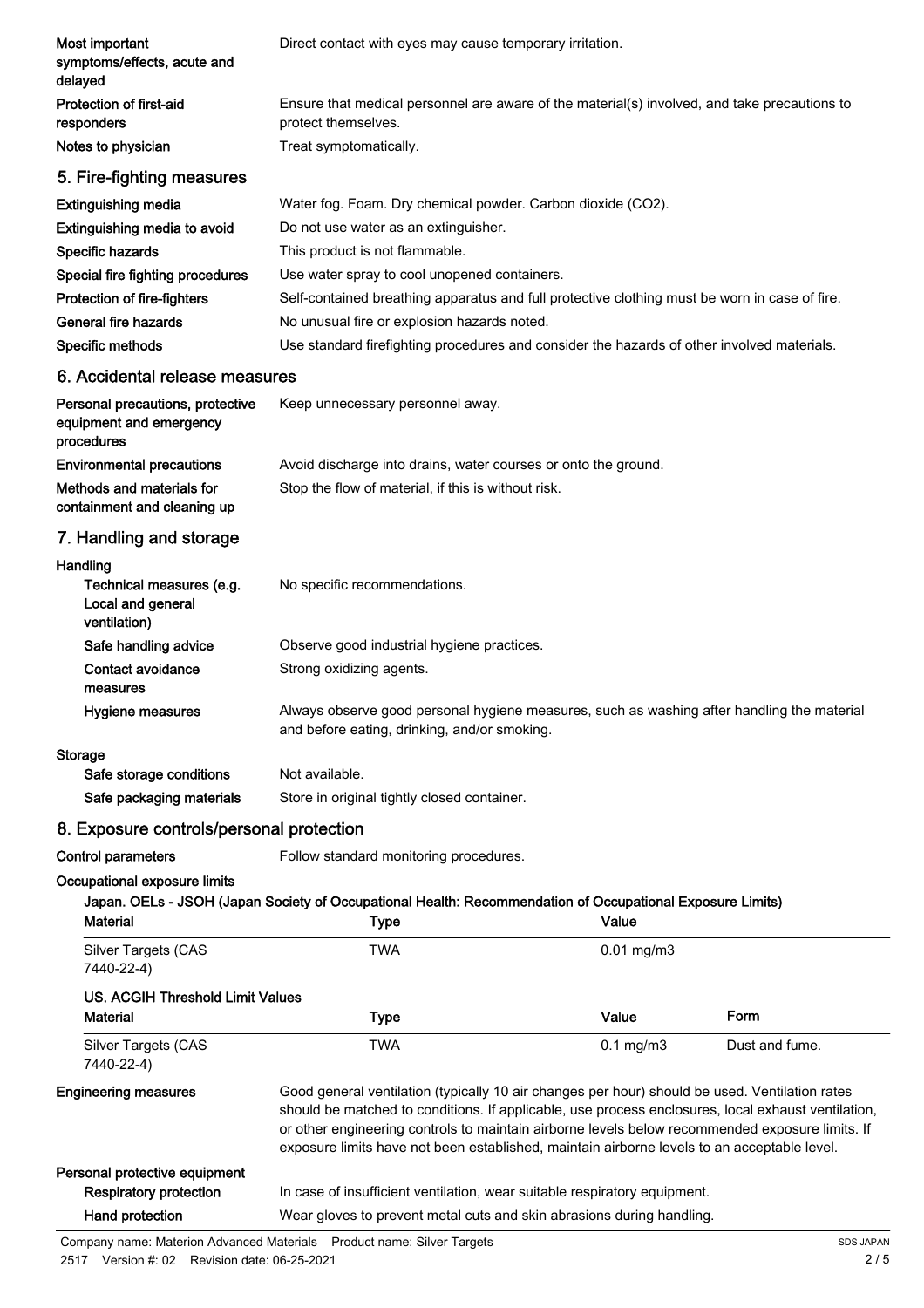| Most important<br>symptoms/effects, acute and<br>delayed                                                        | Direct contact with eyes may cause temporary irritation.                                                                                                                                                                                                                                                                                                                                               |                                                                |                |  |  |
|-----------------------------------------------------------------------------------------------------------------|--------------------------------------------------------------------------------------------------------------------------------------------------------------------------------------------------------------------------------------------------------------------------------------------------------------------------------------------------------------------------------------------------------|----------------------------------------------------------------|----------------|--|--|
| <b>Protection of first-aid</b><br>responders                                                                    | Ensure that medical personnel are aware of the material(s) involved, and take precautions to<br>protect themselves.                                                                                                                                                                                                                                                                                    |                                                                |                |  |  |
| Notes to physician                                                                                              | Treat symptomatically.                                                                                                                                                                                                                                                                                                                                                                                 |                                                                |                |  |  |
| 5. Fire-fighting measures                                                                                       |                                                                                                                                                                                                                                                                                                                                                                                                        |                                                                |                |  |  |
| <b>Extinguishing media</b>                                                                                      | Water fog. Foam. Dry chemical powder. Carbon dioxide (CO2).                                                                                                                                                                                                                                                                                                                                            |                                                                |                |  |  |
| Extinguishing media to avoid                                                                                    | Do not use water as an extinguisher.                                                                                                                                                                                                                                                                                                                                                                   |                                                                |                |  |  |
| Specific hazards                                                                                                | This product is not flammable.                                                                                                                                                                                                                                                                                                                                                                         |                                                                |                |  |  |
| Special fire fighting procedures                                                                                | Use water spray to cool unopened containers.                                                                                                                                                                                                                                                                                                                                                           |                                                                |                |  |  |
| Protection of fire-fighters                                                                                     | Self-contained breathing apparatus and full protective clothing must be worn in case of fire.                                                                                                                                                                                                                                                                                                          |                                                                |                |  |  |
| General fire hazards                                                                                            | No unusual fire or explosion hazards noted.                                                                                                                                                                                                                                                                                                                                                            |                                                                |                |  |  |
| Specific methods                                                                                                | Use standard firefighting procedures and consider the hazards of other involved materials.                                                                                                                                                                                                                                                                                                             |                                                                |                |  |  |
| 6. Accidental release measures                                                                                  |                                                                                                                                                                                                                                                                                                                                                                                                        |                                                                |                |  |  |
| Personal precautions, protective                                                                                | Keep unnecessary personnel away.                                                                                                                                                                                                                                                                                                                                                                       |                                                                |                |  |  |
| equipment and emergency<br>procedures                                                                           |                                                                                                                                                                                                                                                                                                                                                                                                        |                                                                |                |  |  |
| <b>Environmental precautions</b>                                                                                |                                                                                                                                                                                                                                                                                                                                                                                                        | Avoid discharge into drains, water courses or onto the ground. |                |  |  |
| Methods and materials for<br>Stop the flow of material, if this is without risk.<br>containment and cleaning up |                                                                                                                                                                                                                                                                                                                                                                                                        |                                                                |                |  |  |
| 7. Handling and storage                                                                                         |                                                                                                                                                                                                                                                                                                                                                                                                        |                                                                |                |  |  |
| Handling                                                                                                        |                                                                                                                                                                                                                                                                                                                                                                                                        |                                                                |                |  |  |
| Technical measures (e.g.<br>Local and general<br>ventilation)                                                   | No specific recommendations.                                                                                                                                                                                                                                                                                                                                                                           |                                                                |                |  |  |
| Safe handling advice                                                                                            | Observe good industrial hygiene practices.                                                                                                                                                                                                                                                                                                                                                             |                                                                |                |  |  |
| <b>Contact avoidance</b><br>measures                                                                            | Strong oxidizing agents.                                                                                                                                                                                                                                                                                                                                                                               |                                                                |                |  |  |
| Hygiene measures                                                                                                | Always observe good personal hygiene measures, such as washing after handling the material<br>and before eating, drinking, and/or smoking.                                                                                                                                                                                                                                                             |                                                                |                |  |  |
| Storage                                                                                                         |                                                                                                                                                                                                                                                                                                                                                                                                        |                                                                |                |  |  |
| Safe storage conditions                                                                                         | Not available.                                                                                                                                                                                                                                                                                                                                                                                         |                                                                |                |  |  |
| Safe packaging materials                                                                                        | Store in original tightly closed container.                                                                                                                                                                                                                                                                                                                                                            |                                                                |                |  |  |
| 8. Exposure controls/personal protection                                                                        |                                                                                                                                                                                                                                                                                                                                                                                                        |                                                                |                |  |  |
| <b>Control parameters</b>                                                                                       | Follow standard monitoring procedures.                                                                                                                                                                                                                                                                                                                                                                 |                                                                |                |  |  |
| Occupational exposure limits<br><b>Material</b>                                                                 | Japan. OELs - JSOH (Japan Society of Occupational Health: Recommendation of Occupational Exposure Limits)<br><b>Type</b>                                                                                                                                                                                                                                                                               | Value                                                          |                |  |  |
| Silver Targets (CAS<br>7440-22-4)                                                                               | <b>TWA</b>                                                                                                                                                                                                                                                                                                                                                                                             | $0.01$ mg/m $3$                                                |                |  |  |
| <b>US. ACGIH Threshold Limit Values</b>                                                                         |                                                                                                                                                                                                                                                                                                                                                                                                        |                                                                |                |  |  |
| <b>Material</b>                                                                                                 | <b>Type</b>                                                                                                                                                                                                                                                                                                                                                                                            | Value                                                          | Form           |  |  |
| Silver Targets (CAS<br>7440-22-4)                                                                               | <b>TWA</b>                                                                                                                                                                                                                                                                                                                                                                                             | $0.1$ mg/m $3$                                                 | Dust and fume. |  |  |
| <b>Engineering measures</b>                                                                                     | Good general ventilation (typically 10 air changes per hour) should be used. Ventilation rates<br>should be matched to conditions. If applicable, use process enclosures, local exhaust ventilation,<br>or other engineering controls to maintain airborne levels below recommended exposure limits. If<br>exposure limits have not been established, maintain airborne levels to an acceptable level. |                                                                |                |  |  |
| Personal protective equipment                                                                                   |                                                                                                                                                                                                                                                                                                                                                                                                        |                                                                |                |  |  |
| <b>Respiratory protection</b>                                                                                   | In case of insufficient ventilation, wear suitable respiratory equipment.                                                                                                                                                                                                                                                                                                                              |                                                                |                |  |  |
| Hand protection                                                                                                 | Wear gloves to prevent metal cuts and skin abrasions during handling.                                                                                                                                                                                                                                                                                                                                  |                                                                |                |  |  |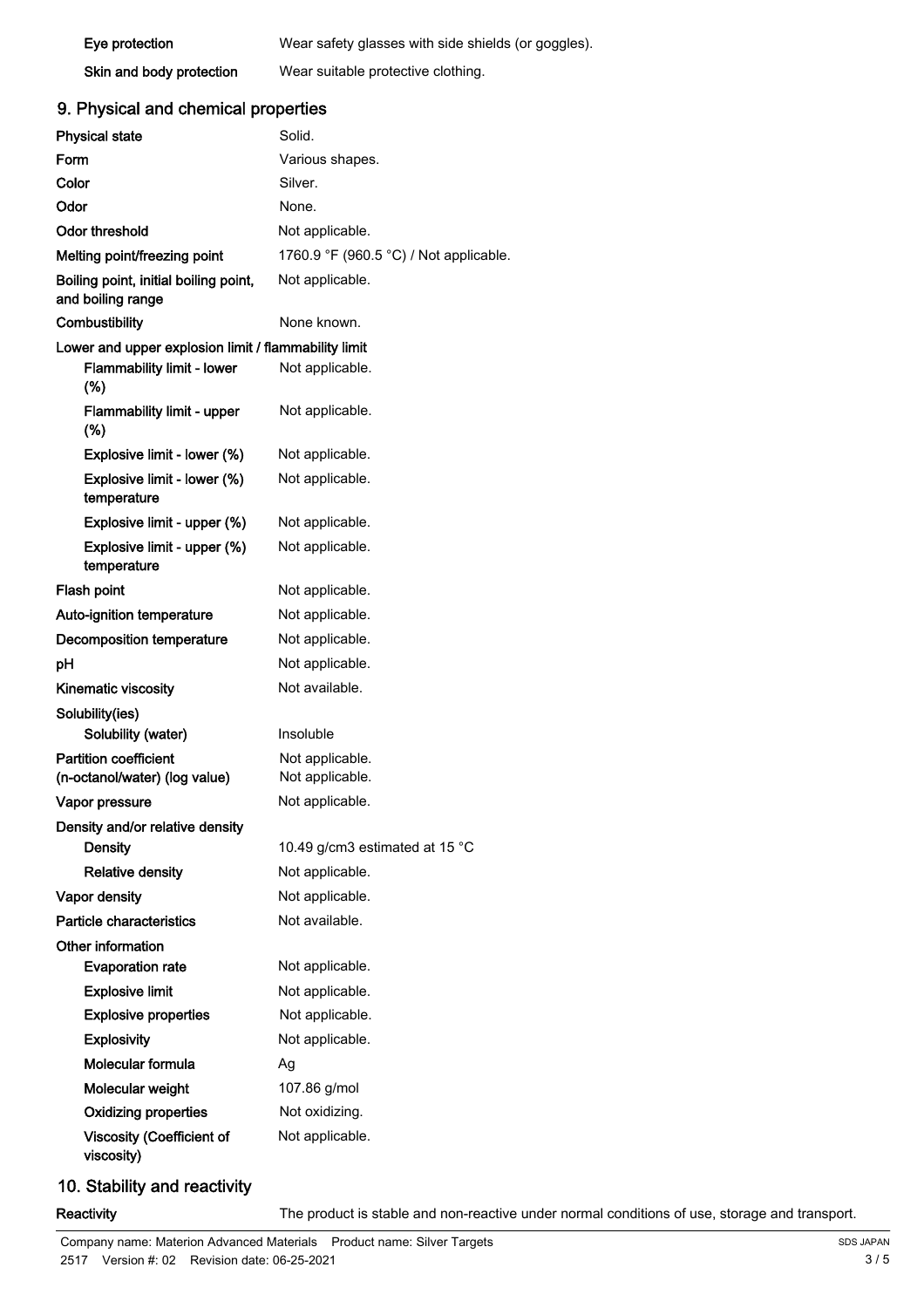| Eye protection           | Wear safety glasses with side shields (or goggles). |
|--------------------------|-----------------------------------------------------|
| Skin and body protection | Wear suitable protective clothing.                  |

### 9. Physical and chemical properties

| <b>Physical state</b>                                         | Solid.                                 |  |
|---------------------------------------------------------------|----------------------------------------|--|
| Form                                                          | Various shapes.                        |  |
| Color                                                         | Silver.                                |  |
| Odor                                                          | None.                                  |  |
| Odor threshold                                                | Not applicable.                        |  |
| Melting point/freezing point                                  | 1760.9 °F (960.5 °C) / Not applicable. |  |
| Boiling point, initial boiling point,                         | Not applicable.                        |  |
| and boiling range                                             |                                        |  |
| Combustibility                                                | None known.                            |  |
| Lower and upper explosion limit / flammability limit          |                                        |  |
| <b>Flammability limit - lower</b><br>(%)                      | Not applicable.                        |  |
| <b>Flammability limit - upper</b><br>$(\%)$                   | Not applicable.                        |  |
| Explosive limit - lower (%)                                   | Not applicable.                        |  |
| Explosive limit - lower (%)<br>temperature                    | Not applicable.                        |  |
| Explosive limit - upper (%)                                   | Not applicable.                        |  |
| Explosive limit - upper (%)<br>temperature                    | Not applicable.                        |  |
| Flash point                                                   | Not applicable.                        |  |
| Auto-ignition temperature                                     | Not applicable.                        |  |
| Decomposition temperature                                     | Not applicable.                        |  |
| рH                                                            | Not applicable.                        |  |
| Kinematic viscosity                                           | Not available.                         |  |
| Solubility(ies)                                               |                                        |  |
| Solubility (water)                                            | Insoluble                              |  |
| <b>Partition coefficient</b><br>(n-octanol/water) (log value) | Not applicable.<br>Not applicable.     |  |
| Vapor pressure                                                | Not applicable.                        |  |
| Density and/or relative density                               |                                        |  |
| <b>Density</b>                                                | 10.49 g/cm3 estimated at 15 °C         |  |
| <b>Relative density</b>                                       | Not applicable.                        |  |
| Vapor density                                                 | Not applicable.                        |  |
| Particle characteristics                                      | Not available.                         |  |
| Other information                                             |                                        |  |
| <b>Evaporation rate</b>                                       | Not applicable.                        |  |
| <b>Explosive limit</b>                                        | Not applicable.                        |  |
| <b>Explosive properties</b>                                   | Not applicable.                        |  |
| <b>Explosivity</b>                                            | Not applicable.                        |  |
| Molecular formula                                             | Ag                                     |  |
| Molecular weight                                              | 107.86 g/mol                           |  |
| <b>Oxidizing properties</b>                                   | Not oxidizing.                         |  |
| <b>Viscosity (Coefficient of</b><br>viscosity)                | Not applicable.                        |  |

## 10. Stability and reactivity

Reactivity The product is stable and non-reactive under normal conditions of use, storage and transport.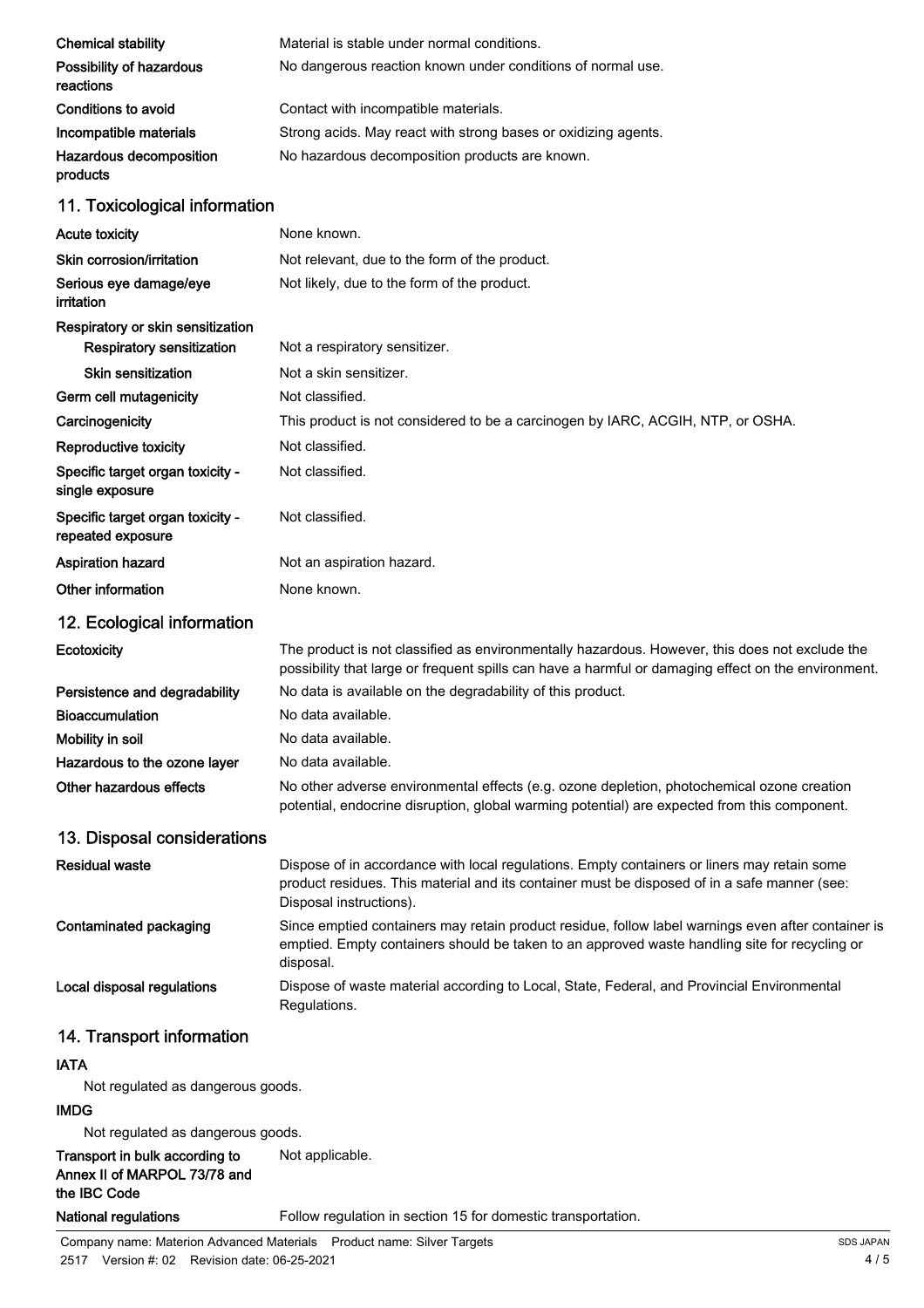| <b>Chemical stability</b>                             | Material is stable under normal conditions.                                                                                                                                                                            |
|-------------------------------------------------------|------------------------------------------------------------------------------------------------------------------------------------------------------------------------------------------------------------------------|
| Possibility of hazardous<br>reactions                 | No dangerous reaction known under conditions of normal use.                                                                                                                                                            |
| Conditions to avoid                                   | Contact with incompatible materials.                                                                                                                                                                                   |
| Incompatible materials                                | Strong acids. May react with strong bases or oxidizing agents.                                                                                                                                                         |
| Hazardous decomposition<br>products                   | No hazardous decomposition products are known.                                                                                                                                                                         |
| 11. Toxicological information                         |                                                                                                                                                                                                                        |
| <b>Acute toxicity</b>                                 | None known.                                                                                                                                                                                                            |
| Skin corrosion/irritation                             | Not relevant, due to the form of the product.                                                                                                                                                                          |
| Serious eye damage/eye<br>irritation                  | Not likely, due to the form of the product.                                                                                                                                                                            |
| Respiratory or skin sensitization                     |                                                                                                                                                                                                                        |
| <b>Respiratory sensitization</b>                      | Not a respiratory sensitizer.                                                                                                                                                                                          |
| Skin sensitization                                    | Not a skin sensitizer.                                                                                                                                                                                                 |
| Germ cell mutagenicity                                | Not classified.                                                                                                                                                                                                        |
| Carcinogenicity                                       | This product is not considered to be a carcinogen by IARC, ACGIH, NTP, or OSHA.                                                                                                                                        |
| Reproductive toxicity                                 | Not classified.                                                                                                                                                                                                        |
| Specific target organ toxicity -<br>single exposure   | Not classified.                                                                                                                                                                                                        |
| Specific target organ toxicity -<br>repeated exposure | Not classified.                                                                                                                                                                                                        |
| Aspiration hazard                                     | Not an aspiration hazard.                                                                                                                                                                                              |
| Other information                                     | None known.                                                                                                                                                                                                            |
| 12. Ecological information                            |                                                                                                                                                                                                                        |
| Ecotoxicity                                           | The product is not classified as environmentally hazardous. However, this does not exclude the<br>possibility that large or frequent spills can have a harmful or damaging effect on the environment.                  |
| Persistence and degradability                         | No data is available on the degradability of this product.                                                                                                                                                             |
| <b>Bioaccumulation</b>                                | No data available.                                                                                                                                                                                                     |
| Mobility in soil                                      | No data available.                                                                                                                                                                                                     |
| Hazardous to the ozone layer                          | No data available.                                                                                                                                                                                                     |
| Other hazardous effects                               | No other adverse environmental effects (e.g. ozone depletion, photochemical ozone creation<br>potential, endocrine disruption, global warming potential) are expected from this component.                             |
| 13. Disposal considerations                           |                                                                                                                                                                                                                        |
| <b>Residual waste</b>                                 | Dispose of in accordance with local regulations. Empty containers or liners may retain some<br>product residues. This material and its container must be disposed of in a safe manner (see:<br>Disposal instructions). |
| Contaminated packaging                                | Since emptied containers may retain product residue, follow label warnings even after container is<br>emptied. Empty containers should be taken to an approved waste handling site for recycling or<br>disposal.       |
| Local disposal regulations                            | Dispose of waste material according to Local, State, Federal, and Provincial Environmental<br>Regulations.                                                                                                             |
| 14. Transport information                             |                                                                                                                                                                                                                        |
| <b>IATA</b>                                           |                                                                                                                                                                                                                        |
| Not regulated as dangerous goods.                     |                                                                                                                                                                                                                        |

### IMDG

Not regulated as dangerous goods.

Transport in bulk according to Not applicable. Annex II of MARPOL 73/78 and the IBC Code

National regulations Follow regulation in section 15 for domestic transportation.